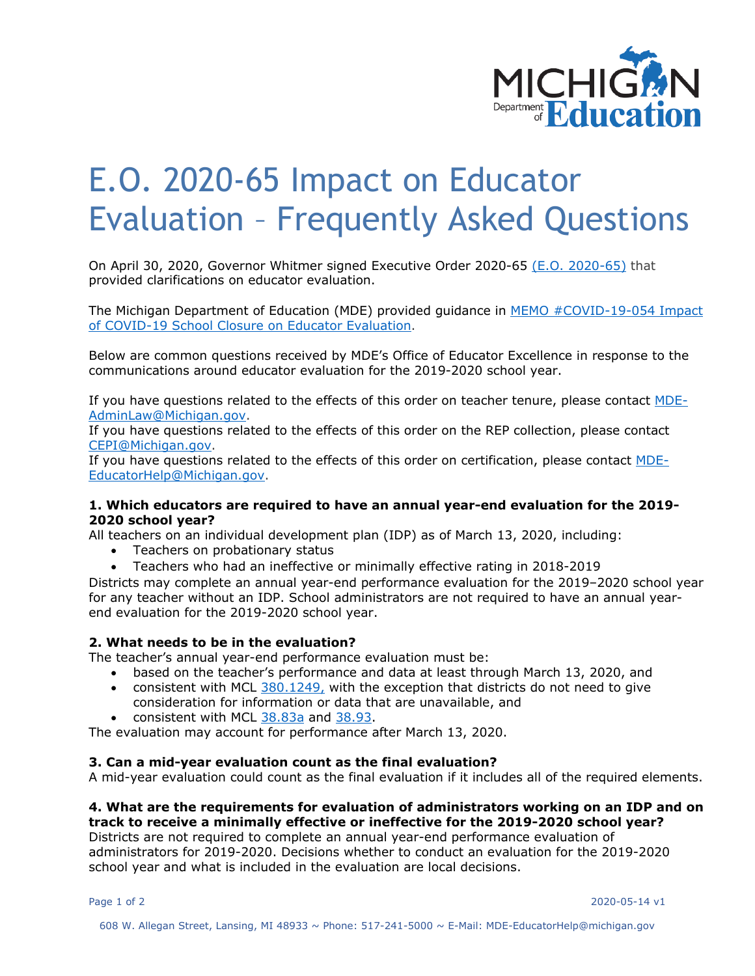

# E.O. 2020-65 Impact on Educator Evaluation – Frequently Asked Questions

On April 30, 2020, Governor Whitmer signed Executive Order 2020-65 [\(E.O. 2020-65\)](http://www.legislature.mi.gov/documents/2019-2020/executiveorder/pdf/2020-EO-65.pdf) that provided clarifications on educator evaluation.

The Michigan Department of Education (MDE) provided guidance in [MEMO #COVID-19-054 Impact](https://www.michigan.gov/mde/0,4615,7-140-37818_53456_98453-523558--,00.html)  [of COVID-19 School Closure on Educator Evaluation.](https://www.michigan.gov/mde/0,4615,7-140-37818_53456_98453-523558--,00.html)

Below are common questions received by MDE's Office of Educator Excellence in response to the communications around educator evaluation for the 2019-2020 school year.

If you have questions related to the effects of this order on teacher tenure, please contact [MDE-](mailto:MDE-AdminLaw@Michigan.gov)[AdminLaw@Michigan.gov.](mailto:MDE-AdminLaw@Michigan.gov)

If you have questions related to the effects of this order on the REP collection, please contact [CEPI@Michigan.gov.](mailto:CEPI@Michigan.gov)

If you have questions related to the effects of this order on certification, please contact [MDE-](mailto:MDE-EducatorHelp@Michigan.gov)[EducatorHelp@Michigan.gov.](mailto:MDE-EducatorHelp@Michigan.gov)

## **1. Which educators are required to have an annual year-end evaluation for the 2019- 2020 school year?**

All teachers on an individual development plan (IDP) as of March 13, 2020, including:

- Teachers on probationary status
- Teachers who had an ineffective or minimally effective rating in 2018-2019

Districts may complete an annual year-end performance evaluation for the 2019–2020 school year for any teacher without an IDP. School administrators are not required to have an annual yearend evaluation for the 2019-2020 school year.

## **2. What needs to be in the evaluation?**

The teacher's annual year-end performance evaluation must be:

- based on the teacher's performance and data at least through March 13, 2020, and
- consistent with MCL  $380.1249$ , with the exception that districts do not need to give consideration for information or data that are unavailable, and
- consistent with MCL [38.83a](https://www.legislature.mi.gov/(S(24tnu1woqbezxwb0yu055iao))/mileg.aspx?page=getobject&objectname=mcl-38-83a) and [38.93.](https://www.legislature.mi.gov/(S(24tnu1woqbezxwb0yu055iao))/mileg.aspx?page=getobject&objectname=mcl-38-93)

The evaluation may account for performance after March 13, 2020.

## **3. Can a mid-year evaluation count as the final evaluation?**

A mid-year evaluation could count as the final evaluation if it includes all of the required elements.

# **4. What are the requirements for evaluation of administrators working on an IDP and on track to receive a minimally effective or ineffective for the 2019-2020 school year?**

Districts are not required to complete an annual year-end performance evaluation of administrators for 2019-2020. Decisions whether to conduct an evaluation for the 2019-2020 school year and what is included in the evaluation are local decisions.

Page 1 of 2 2020-05-14 v1